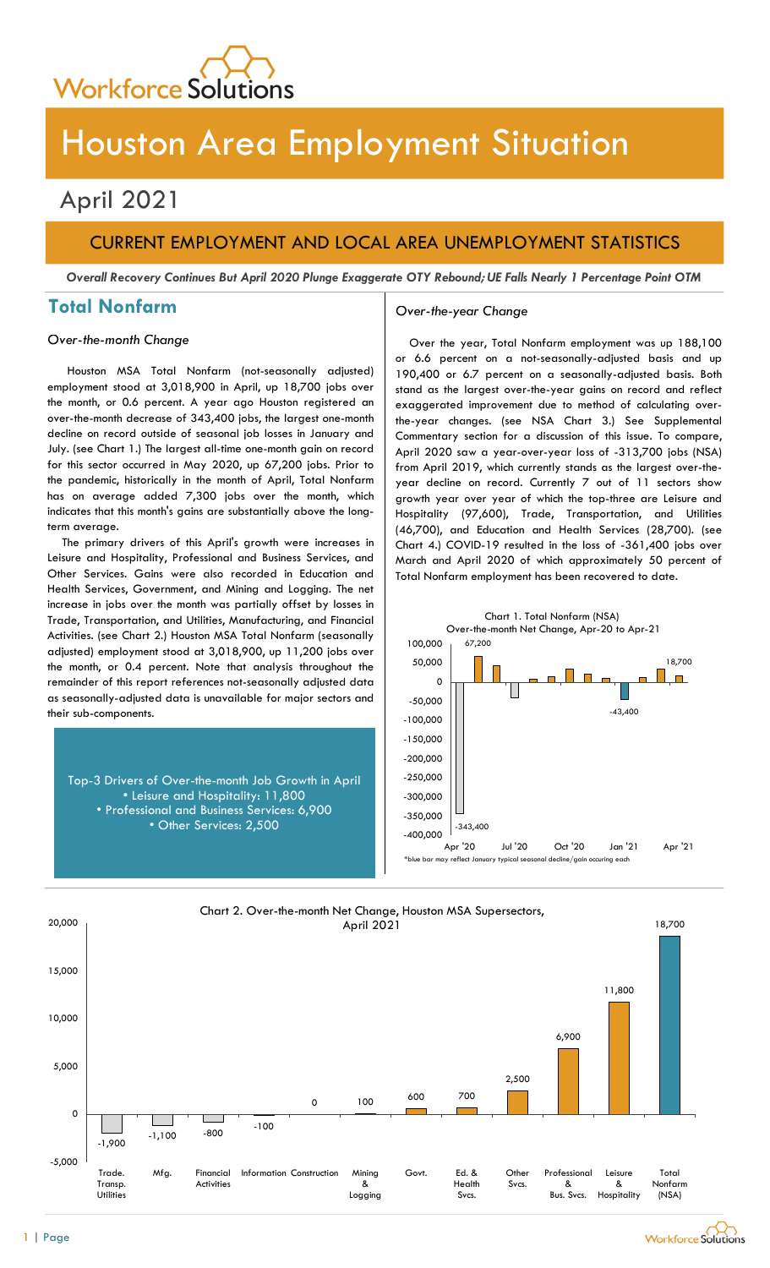

# Houston Area Employment Situation

## April 2021

## CURRENT EMPLOYMENT AND LOCAL AREA UNEMPLOYMENT STATISTICS

Overall Recovery Continues But April 2020 Plunge Exaggerate OTY Rebound; UE Falls Nearly 1 Percentage Point OTM

## Total Nonfarm and a settle over-the-year Change

### Over-the-month Change

Houston MSA Total Nonfarm (not-seasonally adjusted) employment stood at 3,018,900 in April, up 18,700 jobs over the month, or 0.6 percent. A year ago Houston registered an over-the-month decrease of 343,400 jobs, the largest one-month decline on record outside of seasonal job losses in January and July. (see Chart 1.) The largest all-time one-month gain on record for this sector occurred in May 2020, up 67,200 jobs. Prior to the pandemic, historically in the month of April, Total Nonfarm has on average added 7,300 jobs over the month, which indicates that this month's gains are substantially above the longterm average.

The primary drivers of this April's growth were increases in Leisure and Hospitality, Professional and Business Services, and Other Services. Gains were also recorded in Education and Health Services, Government, and Mining and Logging. The net increase in jobs over the month was partially offset by losses in Trade, Transportation, and Utilities, Manufacturing, and Financial Activities. (see Chart 2.) Houston MSA Total Nonfarm (seasonally adjusted) employment stood at 3,018,900, up 11,200 jobs over the month, or 0.4 percent. Note that analysis throughout the remainder of this report references not-seasonally adjusted data as seasonally-adjusted data is unavailable for major sectors and their sub-components.

Top-3 Drivers of Over-the-month Job Growth in April • Leisure and Hospitality: 11,800 • Professional and Business Services: 6,900 • Other Services: 2,500  $\frac{1}{2}$   $\frac{343,400}{28,0000}$ 

Over the year, Total Nonfarm employment was up 188,100 or 6.6 percent on a not-seasonally-adjusted basis and up 190,400 or 6.7 percent on a seasonally-adjusted basis. Both stand as the largest over-the-year gains on record and reflect exaggerated improvement due to method of calculating overthe-year changes. (see NSA Chart 3.) See Supplemental Commentary section for a discussion of this issue. To compare, April 2020 saw a year-over-year loss of -313,700 jobs (NSA) from April 2019, which currently stands as the largest over-theyear decline on record. Currently 7 out of 11 sectors show growth year over year of which the top-three are Leisure and Hospitality (97,600), Trade, Transportation, and Utilities (46,700), and Education and Health Services (28,700). (see Chart 4.) COVID-19 resulted in the loss of -361,400 jobs over March and April 2020 of which approximately 50 percent of Total Nonfarm employment has been recovered to date.



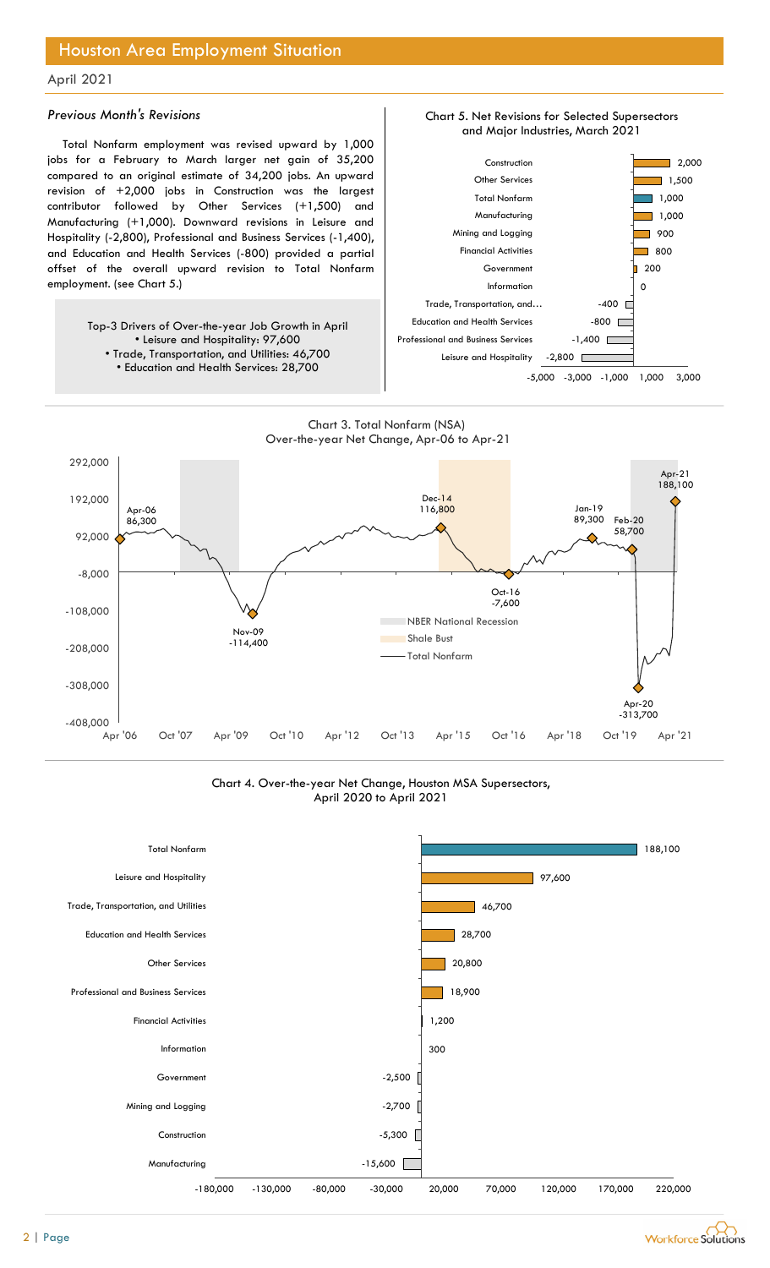## Houston Area Employment Situation

### April 2021

### Previous Month's Revisions

Total Nonfarm employment was revised upward by 1,000 jobs for a February to March larger net gain of 35,200 compared to an original estimate of 34,200 jobs. An upward revision of +2,000 jobs in Construction was the largest contributor followed by Other Services (+1,500) and Manufacturing (+1,000). Downward revisions in Leisure and Hospitality (-2,800), Professional and Business Services (-1,400), and Education and Health Services (-800) provided a partial offset of the overall upward revision to Total Nonfarm employment. (see Chart 5.)

> Top-3 Drivers of Over-the-year Job Growth in April • Leisure and Hospitality: 97,600 • Trade, Transportation, and Utilities: 46,700

![](_page_1_Figure_5.jpeg)

Chart 3. Total Nonfarm (NSA) Over-the-year Net Change, Apr-06 to Apr-21

![](_page_1_Figure_7.jpeg)

Chart 4. Over-the-year Net Change, Houston MSA Supersectors, April 2020 to April 2021

![](_page_1_Figure_9.jpeg)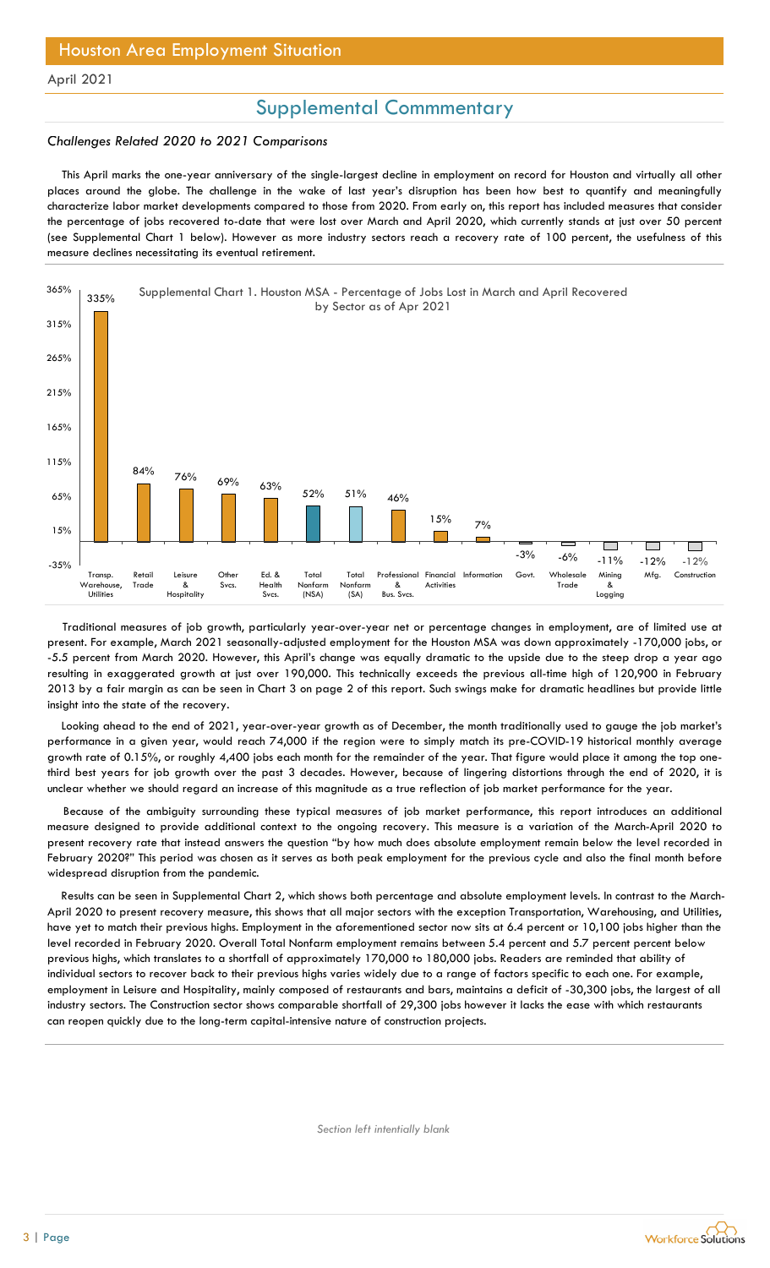## Supplemental Commmentary

#### Challenges Related 2020 to 2021 Comparisons

This April marks the one-year anniversary of the single-largest decline in employment on record for Houston and virtually all other places around the globe. The challenge in the wake of last year's disruption has been how best to quantify and meaningfully characterize labor market developments compared to those from 2020. From early on, this report has included measures that consider the percentage of jobs recovered to-date that were lost over March and April 2020, which currently stands at just over 50 percent (see Supplemental Chart 1 below). However as more industry sectors reach a recovery rate of 100 percent, the usefulness of this measure declines necessitating its eventual retirement.

![](_page_2_Figure_5.jpeg)

Traditional measures of job growth, particularly year-over-year net or percentage changes in employment, are of limited use at present. For example, March 2021 seasonally-adjusted employment for the Houston MSA was down approximately -170,000 jobs, or -5.5 percent from March 2020. However, this April's change was equally dramatic to the upside due to the steep drop a year ago resulting in exaggerated growth at just over 190,000. This technically exceeds the previous all-time high of 120,900 in February 2013 by a fair margin as can be seen in Chart 3 on page 2 of this report. Such swings make for dramatic headlines but provide little insight into the state of the recovery.

Looking ahead to the end of 2021, year-over-year growth as of December, the month traditionally used to gauge the job market's performance in a given year, would reach 74,000 if the region were to simply match its pre-COVID-19 historical monthly average growth rate of 0.15%, or roughly 4,400 jobs each month for the remainder of the year. That figure would place it among the top onethird best years for job growth over the past 3 decades. However, because of lingering distortions through the end of 2020, it is unclear whether we should regard an increase of this magnitude as a true reflection of job market performance for the year.

Because of the ambiguity surrounding these typical measures of job market performance, this report introduces an additional measure designed to provide additional context to the ongoing recovery. This measure is a variation of the March-April 2020 to present recovery rate that instead answers the question "by how much does absolute employment remain below the level recorded in February 2020?" This period was chosen as it serves as both peak employment for the previous cycle and also the final month before widespread disruption from the pandemic.

 Results can be seen in Supplemental Chart 2, which shows both percentage and absolute employment levels. In contrast to the March-April 2020 to present recovery measure, this shows that all major sectors with the exception Transportation, Warehousing, and Utilities, have yet to match their previous highs. Employment in the aforementioned sector now sits at 6.4 percent or 10,100 jobs higher than the level recorded in February 2020. Overall Total Nonfarm employment remains between 5.4 percent and 5.7 percent percent below previous highs, which translates to a shortfall of approximately 170,000 to 180,000 jobs. Readers are reminded that ability of individual sectors to recover back to their previous highs varies widely due to a range of factors specific to each one. For example, employment in Leisure and Hospitality, mainly composed of restaurants and bars, maintains a deficit of -30,300 jobs, the largest of all industry sectors. The Construction sector shows comparable shortfall of 29,300 jobs however it lacks the ease with which restaurants can reopen quickly due to the long-term capital-intensive nature of construction projects.

Section left intentially blank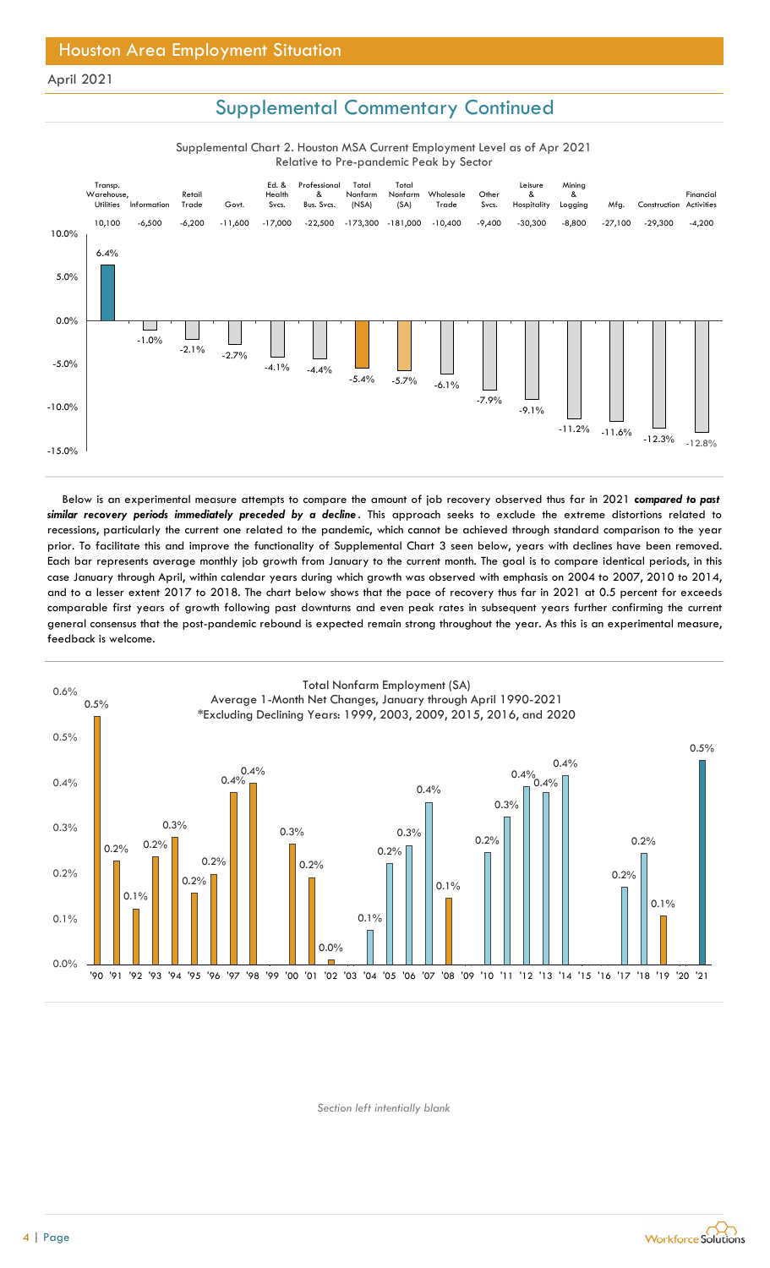## Supplemental Commentary Continued

Supplemental Chart 2. Houston MSA Current Employment Level as of Apr 2021 Relative to Pre-pandemic Peak by Sector

![](_page_3_Figure_4.jpeg)

Below is an experimental measure attempts to compare the amount of job recovery observed thus far in 2021 compared to past similar recovery periods immediately preceded by a decline. This approach seeks to exclude the extreme distortions related to recessions, particularly the current one related to the pandemic, which cannot be achieved through standard comparison to the year prior. To facilitate this and improve the functionality of Supplemental Chart 3 seen below, years with declines have been removed. Each bar represents average monthly job growth from January to the current month. The goal is to compare identical periods, in this case January through April, within calendar years during which growth was observed with emphasis on 2004 to 2007, 2010 to 2014, and to a lesser extent 2017 to 2018. The chart below shows that the pace of recovery thus far in 2021 at 0.5 percent for exceeds comparable first years of growth following past downturns and even peak rates in subsequent years further confirming the current general consensus that the post-pandemic rebound is expected remain strong throughout the year. As this is an experimental measure, feedback is welcome.

![](_page_3_Figure_6.jpeg)

Section left intentially blank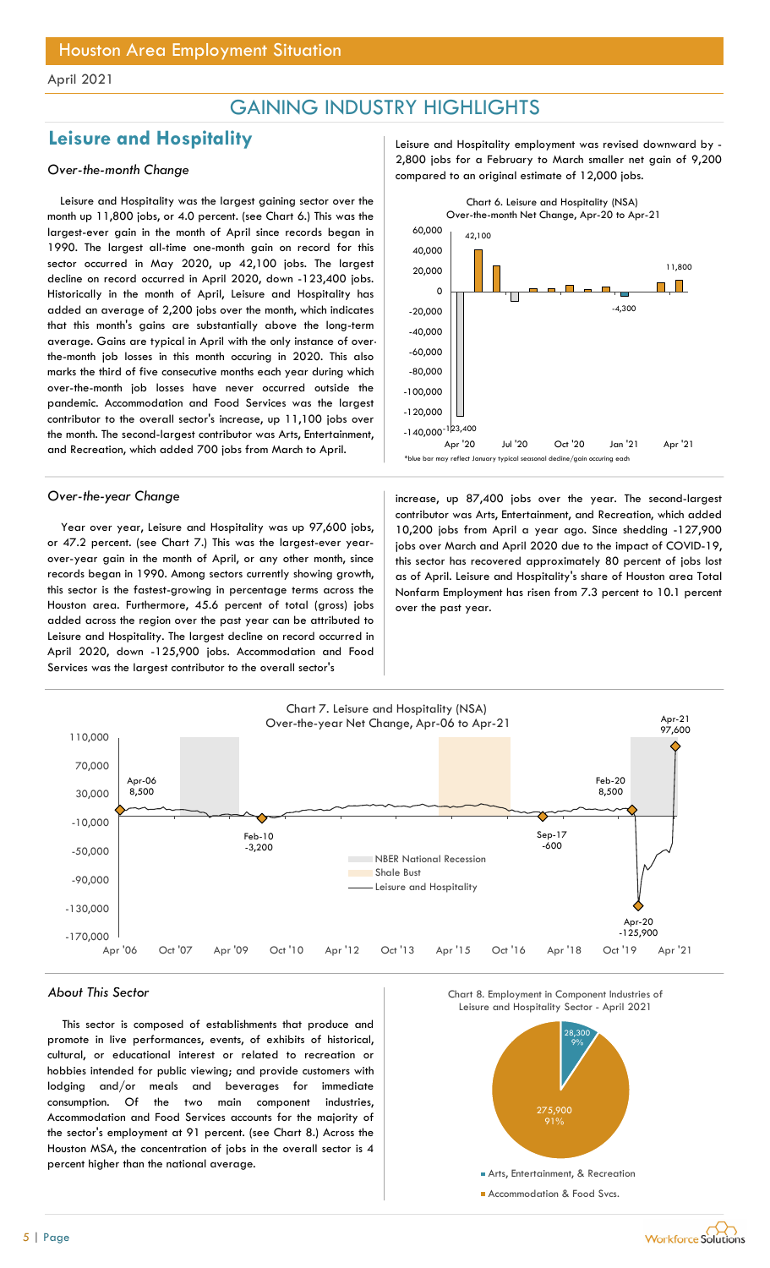## GAINING INDUSTRY HIGHLIGHTS

## Leisure and Hospitality **Leisure and Hospitality** Leisure and Hospitality employment was revised downward by -

Leisure and Hospitality was the largest gaining sector over the month up 11,800 jobs, or 4.0 percent. (see Chart 6.) This was the largest-ever gain in the month of April since records began in 1990. The largest all-time one-month gain on record for this sector occurred in May 2020, up 42,100 jobs. The largest decline on record occurred in April 2020, down -123,400 jobs. Historically in the month of April, Leisure and Hospitality has added an average of 2,200 jobs over the month, which indicates that this month's gains are substantially above the long-term average. Gains are typical in April with the only instance of overthe-month job losses in this month occuring in 2020. This also marks the third of five consecutive months each year during which over-the-month job losses have never occurred outside the pandemic. Accommodation and Food Services was the largest contributor to the overall sector's increase, up 11,100 jobs over the month. The second-largest contributor was Arts, Entertainment, and Recreation, which added 700 jobs from March to April.

Year over year, Leisure and Hospitality was up 97,600 jobs, or 47.2 percent. (see Chart 7.) This was the largest-ever yearover-year gain in the month of April, or any other month, since records began in 1990. Among sectors currently showing growth, this sector is the fastest-growing in percentage terms across the Houston area. Furthermore, 45.6 percent of total (gross) jobs added across the region over the past year can be attributed to Leisure and Hospitality. The largest decline on record occurred in April 2020, down -125,900 jobs. Accommodation and Food Services was the largest contributor to the overall sector's

2,800 jobs for a February to March smaller net gain of 9,200<br>Compared to an original estimate of 12,000 jobs.

![](_page_4_Figure_9.jpeg)

Over-the-year Change increase, up 87,400 jobs over the year. The second-largest contributor was Arts, Entertainment, and Recreation, which added 10,200 jobs from April a year ago. Since shedding -127,900 jobs over March and April 2020 due to the impact of COVID-19, this sector has recovered approximately 80 percent of jobs lost as of April. Leisure and Hospitality's share of Houston area Total Nonfarm Employment has risen from 7.3 percent to 10.1 percent over the past year.

![](_page_4_Figure_11.jpeg)

#### About This Sector

This sector is composed of establishments that produce and promote in live performances, events, of exhibits of historical, cultural, or educational interest or related to recreation or hobbies intended for public viewing; and provide customers with lodging and/or meals and beverages for immediate consumption. Of the two main component industries, Accommodation and Food Services accounts for the majority of the sector's employment at 91 percent. (see Chart 8.) Across the Houston MSA, the concentration of jobs in the overall sector is 4 percent higher than the national average.

![](_page_4_Figure_14.jpeg)

![](_page_4_Figure_15.jpeg)

**Workforce Solutions**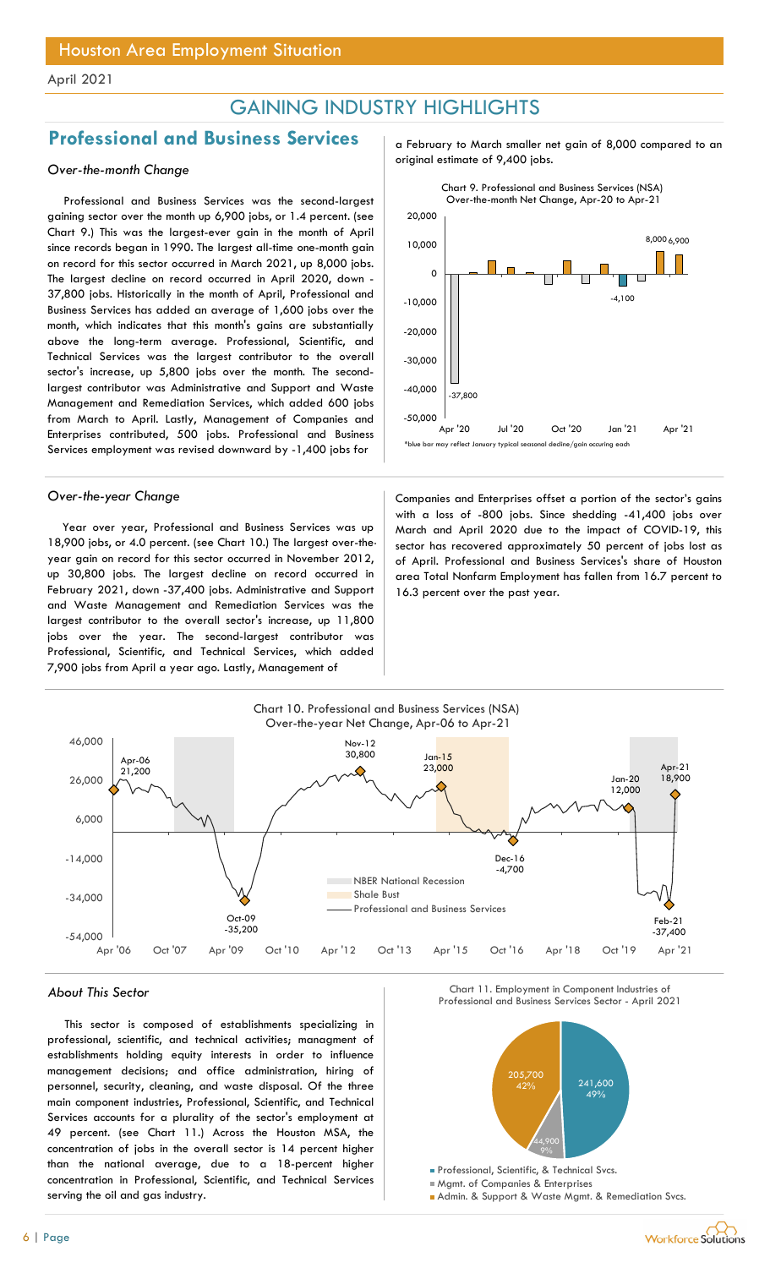## GAINING INDUSTRY HIGHLIGHTS

## Professional and Business Services and February to March smaller net gain of 8,000 compared to an

Professional and Business Services was the second-largest gaining sector over the month up 6,900 jobs, or 1.4 percent. (see Chart 9.) This was the largest-ever gain in the month of April since records began in 1990. The largest all-time one-month gain on record for this sector occurred in March 2021, up 8,000 jobs. The largest decline on record occurred in April 2020, down - 37,800 jobs. Historically in the month of April, Professional and Business Services has added an average of 1,600 jobs over the month, which indicates that this month's gains are substantially above the long-term average. Professional, Scientific, and Technical Services was the largest contributor to the overall sector's increase, up 5,800 jobs over the month. The secondlargest contributor was Administrative and Support and Waste Management and Remediation Services, which added 600 jobs from March to April. Lastly, Management of Companies and Enterprises contributed, 500 jobs. Professional and Business Services employment was revised downward by -1,400 jobs for

Year over year, Professional and Business Services was up 18,900 jobs, or 4.0 percent. (see Chart 10.) The largest over-theyear gain on record for this sector occurred in November 2012, up 30,800 jobs. The largest decline on record occurred in February 2021, down -37,400 jobs. Administrative and Support and Waste Management and Remediation Services was the largest contributor to the overall sector's increase, up 11,800 jobs over the year. The second-largest contributor was Professional, Scientific, and Technical Services, which added 7,900 jobs from April a year ago. Lastly, Management of

original estimate of 9,400 jobs. Over-the-month Change

![](_page_5_Figure_9.jpeg)

Over-the-year Change Companies and Enterprises offset a portion of the sector's gains with a loss of -800 jobs. Since shedding -41,400 jobs over March and April 2020 due to the impact of COVID-19, this sector has recovered approximately 50 percent of jobs lost as of April. Professional and Business Services's share of Houston area Total Nonfarm Employment has fallen from 16.7 percent to 16.3 percent over the past year.

![](_page_5_Figure_11.jpeg)

This sector is composed of establishments specializing in professional, scientific, and technical activities; managment of establishments holding equity interests in order to influence management decisions; and office administration, hiring of personnel, security, cleaning, and waste disposal. Of the three main component industries, Professional, Scientific, and Technical Services accounts for a plurality of the sector's employment at 49 percent. (see Chart 11.) Across the Houston MSA, the concentration of jobs in the overall sector is 14 percent higher than the national average, due to a 18-percent higher concentration in Professional, Scientific, and Technical Services serving the oil and gas industry.

About This Sector Chart II. Employment in Component Industries of Chart II. Employment in Component Industries of Chart II. Employment in Component Industries of Chart II. Employment in Component Industries of Chart II. Em Chart 11. Employment in Component Industries of

![](_page_5_Figure_15.jpeg)

**Admin. & Support & Waste Mgmt. & Remediation Svcs.**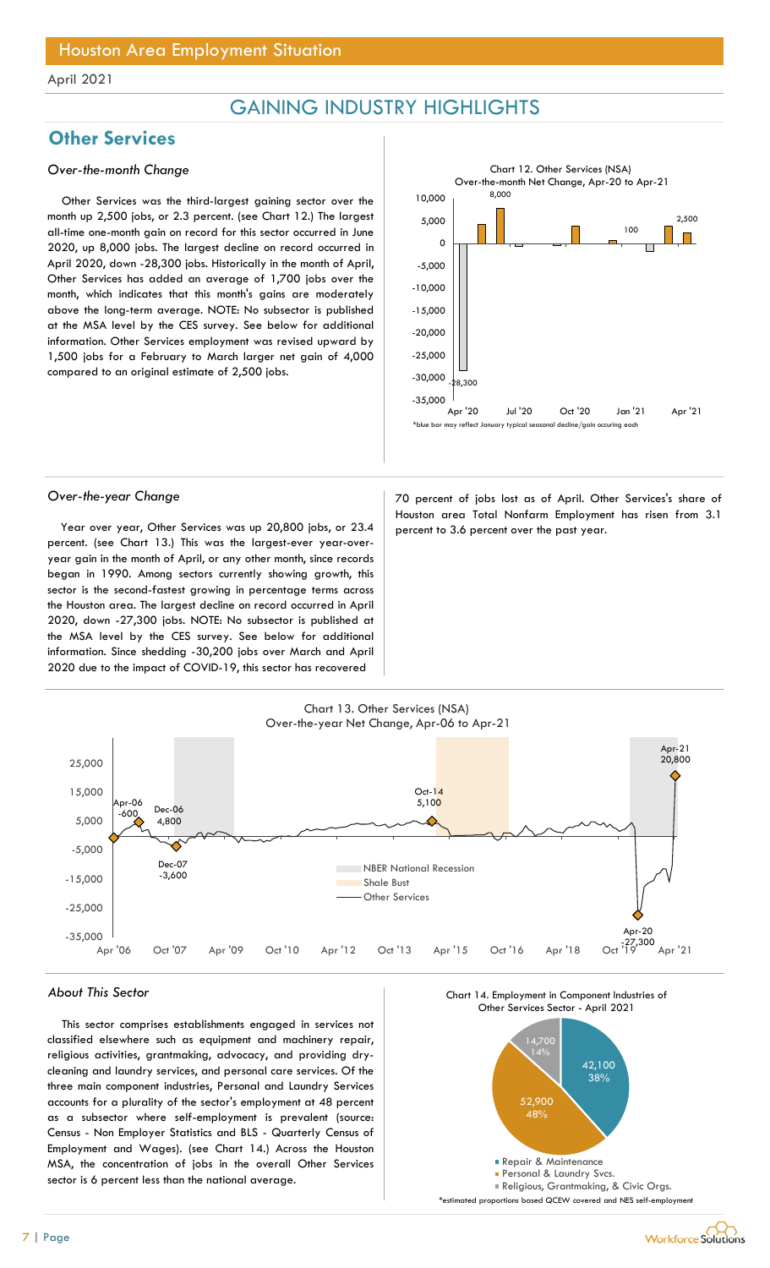## GAINING INDUSTRY HIGHLIGHTS

## **Other Services**

### Over-the-month Change

Other Services was the third-largest gaining sector over the month up 2,500 jobs, or 2.3 percent. (see Chart 12.) The largest all-time one-month gain on record for this sector occurred in June 2020, up 8,000 jobs. The largest decline on record occurred in April 2020, down -28,300 jobs. Historically in the month of April, Other Services has added an average of 1,700 jobs over the month, which indicates that this month's gains are moderately above the long-term average. NOTE: No subsector is published at the MSA level by the CES survey. See below for additional information. Other Services employment was revised upward by 1,500 jobs for a February to March larger net gain of 4,000 compared to an original estimate of 2,500 jobs.

![](_page_6_Figure_6.jpeg)

Year over year, Other Services was up 20,800 jobs, or  $23.4$  percent to 3.6 percent over the past year. percent. (see Chart 13.) This was the largest-ever year-overyear gain in the month of April, or any other month, since records began in 1990. Among sectors currently showing growth, this sector is the second-fastest growing in percentage terms across the Houston area. The largest decline on record occurred in April 2020, down -27,300 jobs. NOTE: No subsector is published at the MSA level by the CES survey. See below for additional information. Since shedding -30,200 jobs over March and April 2020 due to the impact of COVID-19, this sector has recovered

Over-the-year Change and a series of the 70 percent of jobs lost as of April. Other Services's share of Houston area Total Nonfarm Employment has risen from 3.1

![](_page_6_Figure_10.jpeg)

### About This Sector

This sector comprises establishments engaged in services not classified elsewhere such as equipment and machinery repair, religious activities, grantmaking, advocacy, and providing drycleaning and laundry services, and personal care services. Of the three main component industries, Personal and Laundry Services accounts for a plurality of the sector's employment at 48 percent as a subsector where self-employment is prevalent (source: Census - Non Employer Statistics and BLS - Quarterly Census of Employment and Wages). (see Chart 14.) Across the Houston MSA, the concentration of jobs in the overall Other Services sector is 6 percent less than the national average.

![](_page_6_Figure_13.jpeg)

![](_page_6_Figure_14.jpeg)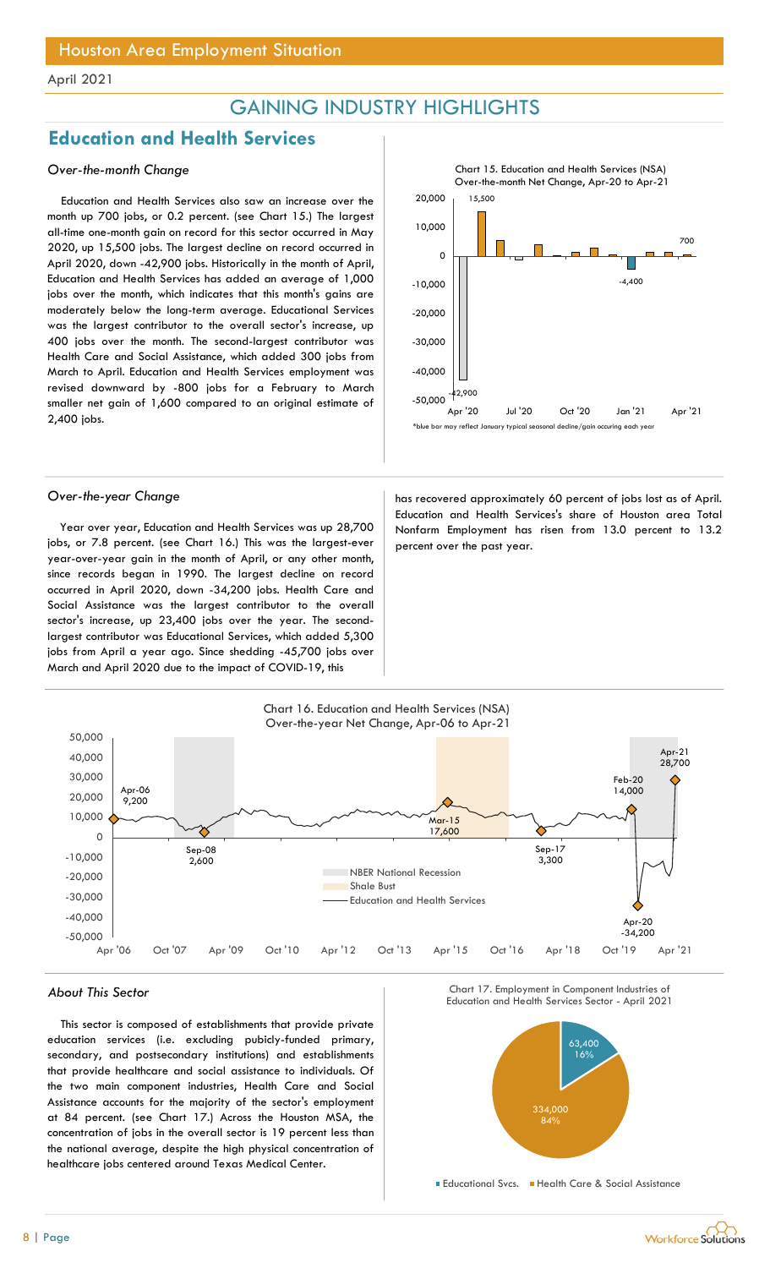## GAINING INDUSTRY HIGHLIGHTS

## Education and Health Services

### Over-the-month Change

Education and Health Services also saw an increase over the month up 700 jobs, or 0.2 percent. (see Chart 15.) The largest all-time one-month gain on record for this sector occurred in May 2020, up 15,500 jobs. The largest decline on record occurred in April 2020, down -42,900 jobs. Historically in the month of April, Education and Health Services has added an average of 1,000 jobs over the month, which indicates that this month's gains are moderately below the long-term average. Educational Services was the largest contributor to the overall sector's increase, up 400 jobs over the month. The second-largest contributor was Health Care and Social Assistance, which added 300 jobs from March to April. Education and Health Services employment was revised downward by -800 jobs for a February to March smaller net gain of 1,600 compared to an original estimate of 2,400 jobs.

![](_page_7_Figure_6.jpeg)

Year over year, Education and Health Services was up 28,700 jobs, or 7.8 percent. (see Chart 16.) This was the largest-ever year-over-year gain in the month of April, or any other month, since records began in 1990. The largest decline on record occurred in April 2020, down -34,200 jobs. Health Care and Social Assistance was the largest contributor to the overall sector's increase, up 23,400 jobs over the year. The secondlargest contributor was Educational Services, which added 5,300 jobs from April a year ago. Since shedding -45,700 jobs over March and April 2020 due to the impact of COVID-19, this

![](_page_7_Figure_8.jpeg)

Over-the-year Change **has recovered approximately 60 percent of jobs lost as of April.** Education and Health Services's share of Houston area Total Nonfarm Employment has risen from 13.0 percent to 13.2 percent over the past year.

![](_page_7_Figure_10.jpeg)

## About This Sector Chart IT Chart IT. Employment in Component Industries of Chart IT. Employment in Component Industries of Chart IT. Employment in Component Industries of Chart IT. Employment in Component Industries of Cha

This sector is composed of establishments that provide private education services (i.e. excluding pubicly-funded primary, secondary, and postsecondary institutions) and establishments that provide healthcare and social assistance to individuals. Of the two main component industries, Health Care and Social Assistance accounts for the majority of the sector's employment at 84 percent. (see Chart 17.) Across the Houston MSA, the concentration of jobs in the overall sector is 19 percent less than the national average, despite the high physical concentration of healthcare jobs centered around Texas Medical Center.

![](_page_7_Figure_13.jpeg)

Educational Svcs. Health Care & Social Assistance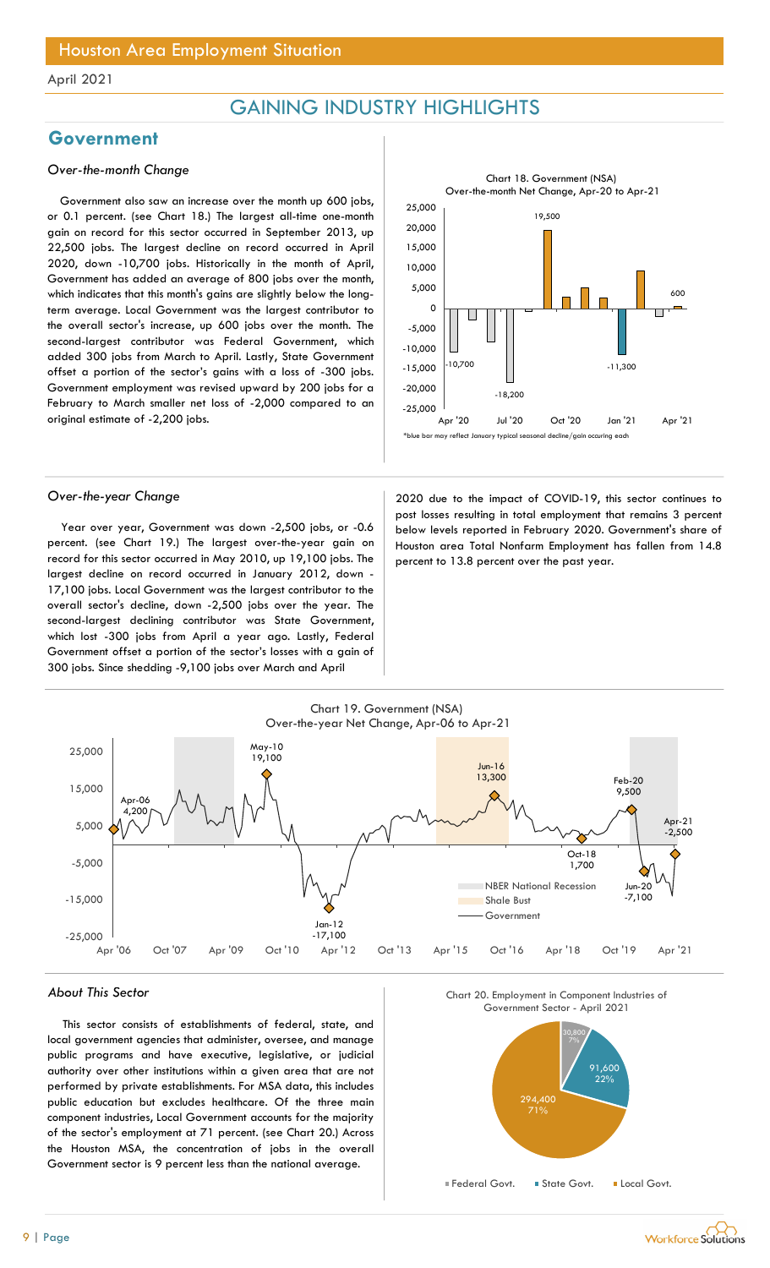## GAINING INDUSTRY HIGHLIGHTS

## Government

### Over-the-month Change

Government also saw an increase over the month up 600 jobs, or 0.1 percent. (see Chart 18.) The largest all-time one-month gain on record for this sector occurred in September 2013, up 22,500 jobs. The largest decline on record occurred in April 2020, down -10,700 jobs. Historically in the month of April, Government has added an average of 800 jobs over the month, which indicates that this month's gains are slightly below the longterm average. Local Government was the largest contributor to the overall sector's increase, up 600 jobs over the month. The second-largest contributor was Federal Government, which added 300 jobs from March to April. Lastly, State Government offset a portion of the sector's gains with a loss of -300 jobs. Government employment was revised upward by 200 jobs for a February to March smaller net loss of -2,000 compared to an original estimate of -2,200 jobs.

![](_page_8_Figure_6.jpeg)

Year over year, Government was down -2,500 jobs, or -0.6 percent. (see Chart 19.) The largest over-the-year gain on record for this sector occurred in May 2010, up 19,100 jobs. The largest decline on record occurred in January 2012, down - 17,100 jobs. Local Government was the largest contributor to the overall sector's decline, down -2,500 jobs over the year. The second-largest declining contributor was State Government, which lost -300 jobs from April a year ago. Lastly, Federal Government offset a portion of the sector's losses with a gain of 300 jobs. Since shedding -9,100 jobs over March and April

Over-the-year Change 2020 due to the impact of COVID-19, this sector continues to post losses resulting in total employment that remains 3 percent below levels reported in February 2020. Government's share of Houston area Total Nonfarm Employment has fallen from 14.8 percent to 13.8 percent over the past year.

![](_page_8_Figure_10.jpeg)

#### About This Sector

This sector consists of establishments of federal, state, and local government agencies that administer, oversee, and manage public programs and have executive, legislative, or judicial authority over other institutions within a given area that are not performed by private establishments. For MSA data, this includes public education but excludes healthcare. Of the three main component industries, Local Government accounts for the majority of the sector's employment at 71 percent. (see Chart 20.) Across the Houston MSA, the concentration of jobs in the overall Government sector is 9 percent less than the national average.

Chart 20. Employment in Component Industries of

![](_page_8_Figure_14.jpeg)

![](_page_8_Picture_15.jpeg)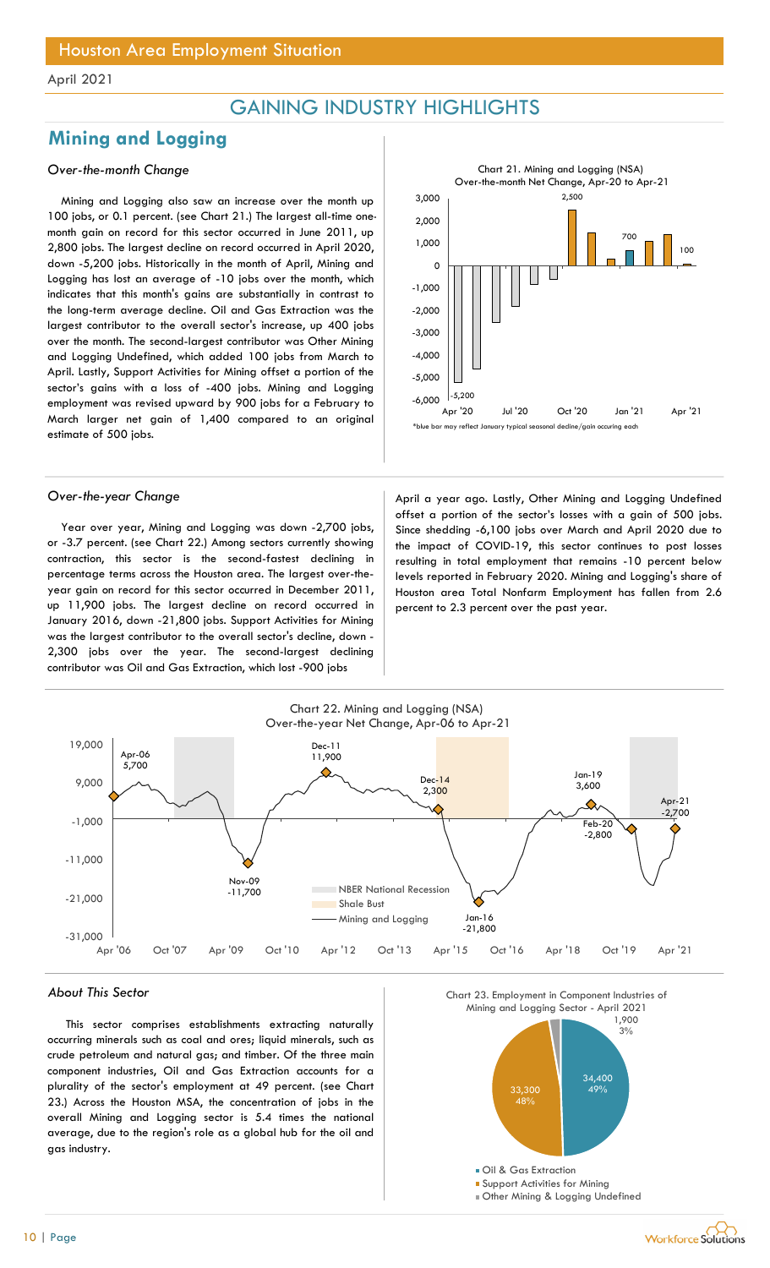## GAINING INDUSTRY HIGHLIGHTS

## Mining and Logging

### Over-the-month Change

Mining and Logging also saw an increase over the month up 100 jobs, or 0.1 percent. (see Chart 21.) The largest all-time onemonth gain on record for this sector occurred in June 2011, up 2,800 jobs. The largest decline on record occurred in April 2020, down -5,200 jobs. Historically in the month of April, Mining and Logging has lost an average of -10 jobs over the month, which indicates that this month's gains are substantially in contrast to the long-term average decline. Oil and Gas Extraction was the largest contributor to the overall sector's increase, up 400 jobs over the month. The second-largest contributor was Other Mining and Logging Undefined, which added 100 jobs from March to April. Lastly, Support Activities for Mining offset a portion of the sector's gains with a loss of -400 jobs. Mining and Logging employment was revised upward by 900 jobs for a February to March larger net gain of 1,400 compared to an original estimate of 500 jobs.

Year over year, Mining and Logging was down -2,700 jobs, or -3.7 percent. (see Chart 22.) Among sectors currently showing contraction, this sector is the second-fastest declining in percentage terms across the Houston area. The largest over-theyear gain on record for this sector occurred in December 2011, up 11,900 jobs. The largest decline on record occurred in January 2016, down -21,800 jobs. Support Activities for Mining was the largest contributor to the overall sector's decline, down - 2,300 jobs over the year. The second-largest declining contributor was Oil and Gas Extraction, which lost -900 jobs

 $\mathcal{L},\mathcal{O}$ -5,200 2,500 700 — **No. 4 (1980)** 100  $.6,000$   $|-5,200$  $-5,000$  |  $\Box$ -4,000 -3,000 -2,000 || | | | | | <sup>--</sup> -1,000 ㅇ ├<del>───────────────────────</del> 1,000 2,000  $3,000$  and  $2,500$ CHLIGHTS<br>
Chart 21. Mining and Logging (NSA)<br>
Over-the-month Net Change, Apr-20 to Apr-21<br>
2,500<br>
2,500<br>
2,500<br>
Apr '20 Jul '20 Oct '20 Jan '21 Apr '21<br>
may reflect January typical seasonal decline/gain occuring scat<br>
ear Chart 21. Mining and Logging (NSA) Over-the-month Net Change, Apr-20 to Apr-21 FIIC FILIC FII 3<br>
Over-the-month Net Change, Apr-20 to Apr-21<br>
3,000<br>
2,000<br>
1,000<br>
0<br>
1,000<br>
1,000<br>
0<br>
1,000<br>
1,000<br>
1,000<br>
1,000<br>
1,000<br>
1,000<br>
2,000<br>
2,000<br>
4,400<br>
2,000<br>
5,500<br>
5,500<br>
5,500<br>
5,500<br>
1,200<br>
2,000<br>
1,200

Over-the-year Change and a second term of the April a year ago. Lastly, Other Mining and Logging Undefined offset a portion of the sector's losses with a gain of 500 jobs. Since shedding -6,100 jobs over March and April 2020 due to the impact of COVID-19, this sector continues to post losses resulting in total employment that remains -10 percent below levels reported in February 2020. Mining and Logging's share of Houston area Total Nonfarm Employment has fallen from 2.6 percent to 2.3 percent over the past year.

![](_page_9_Figure_10.jpeg)

#### About This Sector

This sector comprises establishments extracting naturally occurring minerals such as coal and ores; liquid minerals, such as crude petroleum and natural gas; and timber. Of the three main component industries, Oil and Gas Extraction accounts for a plurality of the sector's employment at 49 percent. (see Chart 23.) Across the Houston MSA, the concentration of jobs in the overall Mining and Logging sector is 5.4 times the national average, due to the region's role as a global hub for the oil and gas industry.

![](_page_9_Figure_13.jpeg)

![](_page_9_Picture_14.jpeg)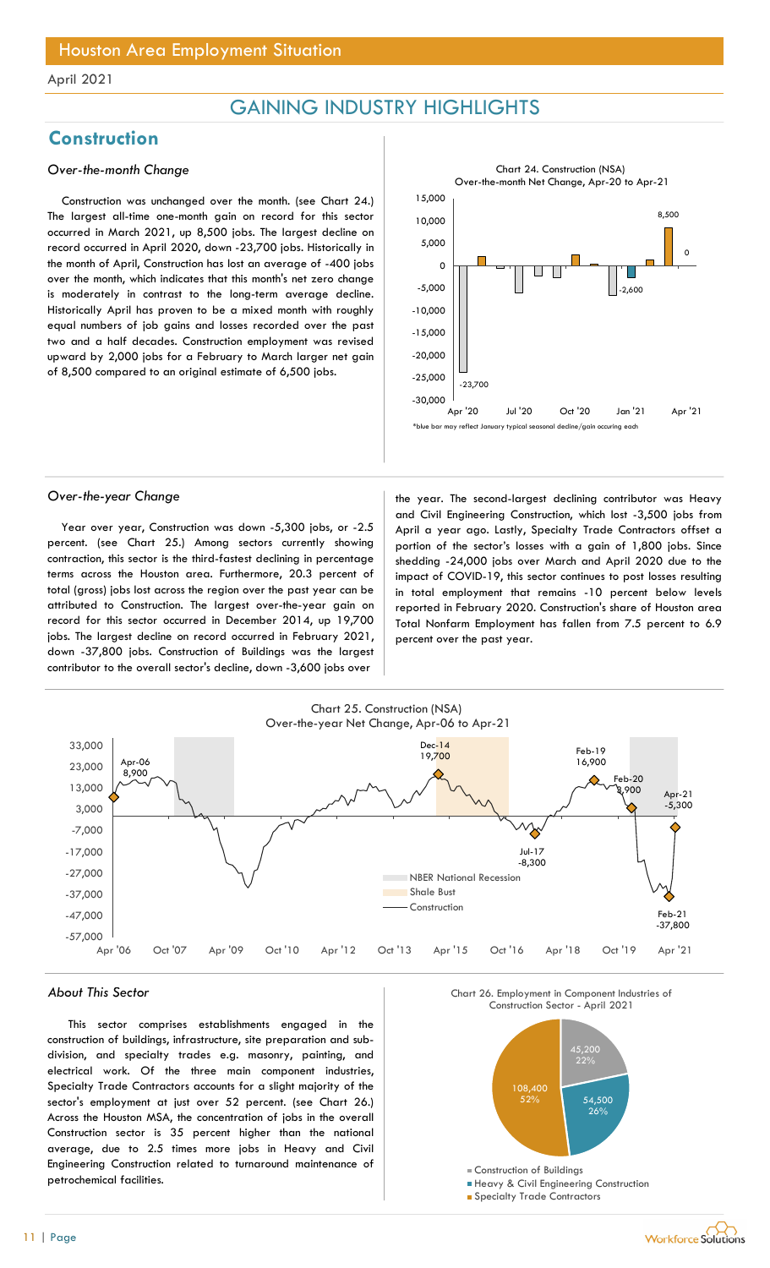## GAINING INDUSTRY HIGHLIGHTS

## **Construction**

### Over-the-month Change

Construction was unchanged over the month. (see Chart 24.) The largest all-time one-month gain on record for this sector occurred in March 2021, up 8,500 jobs. The largest decline on record occurred in April 2020, down -23,700 jobs. Historically in the month of April, Construction has lost an average of -400 jobs over the month, which indicates that this month's net zero change is moderately in contrast to the long-term average decline. Historically April has proven to be a mixed month with roughly equal numbers of job gains and losses recorded over the past two and a half decades. Construction employment was revised upward by 2,000 jobs for a February to March larger net gain of 8,500 compared to an original estimate of 6,500 jobs.

![](_page_10_Figure_6.jpeg)

Year over year, Construction was down -5,300 jobs, or -2.5 percent. (see Chart 25.) Among sectors currently showing contraction, this sector is the third-fastest declining in percentage terms across the Houston area. Furthermore, 20.3 percent of total (gross) jobs lost across the region over the past year can be attributed to Construction. The largest over-the-year gain on record for this sector occurred in December 2014, up 19,700 jobs. The largest decline on record occurred in February 2021, down -37,800 jobs. Construction of Buildings was the largest contributor to the overall sector's decline, down -3,600 jobs over

Over-the-year Change the year. The second-largest declining contributor was Heavy and Civil Engineering Construction, which lost -3,500 jobs from April a year ago. Lastly, Specialty Trade Contractors offset a portion of the sector's losses with a gain of 1,800 jobs. Since shedding -24,000 jobs over March and April 2020 due to the impact of COVID-19, this sector continues to post losses resulting in total employment that remains -10 percent below levels reported in February 2020. Construction's share of Houston area Total Nonfarm Employment has fallen from 7.5 percent to 6.9 percent over the past year.

![](_page_10_Figure_10.jpeg)

#### About This Sector

This sector comprises establishments engaged in the construction of buildings, infrastructure, site preparation and subdivision, and specialty trades e.g. masonry, painting, and electrical work. Of the three main component industries, Specialty Trade Contractors accounts for a slight majority of the sector's employment at just over 52 percent. (see Chart 26.) Across the Houston MSA, the concentration of jobs in the overall Construction sector is 35 percent higher than the national average, due to 2.5 times more jobs in Heavy and Civil Engineering Construction related to turnaround maintenance of petrochemical facilities.

![](_page_10_Figure_13.jpeg)

![](_page_10_Figure_14.jpeg)

**Specialty Trade Contractors**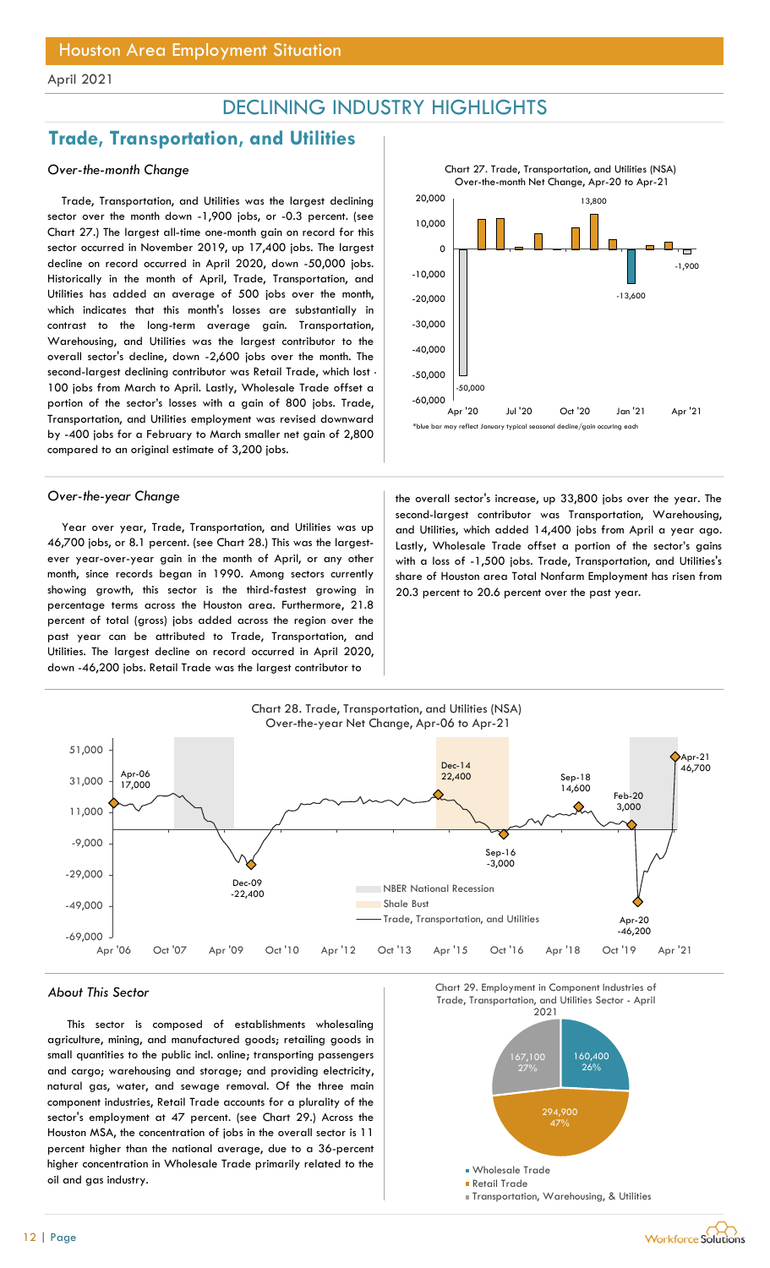## DECLINING INDUSTRY HIGHLIGHTS

## Trade, Transportation, and Utilities

### Over-the-month Change

Trade, Transportation, and Utilities was the largest declining sector over the month down -1,900 jobs, or -0.3 percent. (see Chart 27.) The largest all-time one-month gain on record for this sector occurred in November 2019, up 17,400 jobs. The largest decline on record occurred in April 2020, down -50,000 jobs. Historically in the month of April, Trade, Transportation, and Utilities has added an average of 500 jobs over the month, which indicates that this month's losses are substantially in contrast to the long-term average gain. Transportation, Warehousing, and Utilities was the largest contributor to the overall sector's decline, down -2,600 jobs over the month. The second-largest declining contributor was Retail Trade, which lost - 100 jobs from March to April. Lastly, Wholesale Trade offset a portion of the sector's losses with a gain of 800 jobs. Trade, Transportation, and Utilities employment was revised downward by -400 jobs for a February to March smaller net gain of 2,800 compared to an original estimate of 3,200 jobs.

Year over year, Trade, Transportation, and Utilities was up 46,700 jobs, or 8.1 percent. (see Chart 28.) This was the largestever year-over-year gain in the month of April, or any other month, since records began in 1990. Among sectors currently showing growth, this sector is the third-fastest growing in percentage terms across the Houston area. Furthermore, 21.8 percent of total (gross) jobs added across the region over the past year can be attributed to Trade, Transportation, and Utilities. The largest decline on record occurred in April 2020, down -46,200 jobs. Retail Trade was the largest contributor to

![](_page_11_Figure_8.jpeg)

Over-the-year Change the overall sector's increase, up 33,800 jobs over the year. The second-largest contributor was Transportation, Warehousing, and Utilities, which added 14,400 jobs from April a year ago. Lastly, Wholesale Trade offset a portion of the sector's gains with a loss of -1,500 jobs. Trade, Transportation, and Utilities's share of Houston area Total Nonfarm Employment has risen from 20.3 percent to 20.6 percent over the past year.

![](_page_11_Figure_10.jpeg)

This sector is composed of establishments wholesaling agriculture, mining, and manufactured goods; retailing goods in small quantities to the public incl. online; transporting passengers and cargo; warehousing and storage; and providing electricity, natural gas, water, and sewage removal. Of the three main component industries, Retail Trade accounts for a plurality of the sector's employment at 47 percent. (see Chart 29.) Across the Houston MSA, the concentration of jobs in the overall sector is 11 percent higher than the national average, due to a 36-percent higher concentration in Wholesale Trade primarily related to the oil and gas industry.

![](_page_11_Figure_13.jpeg)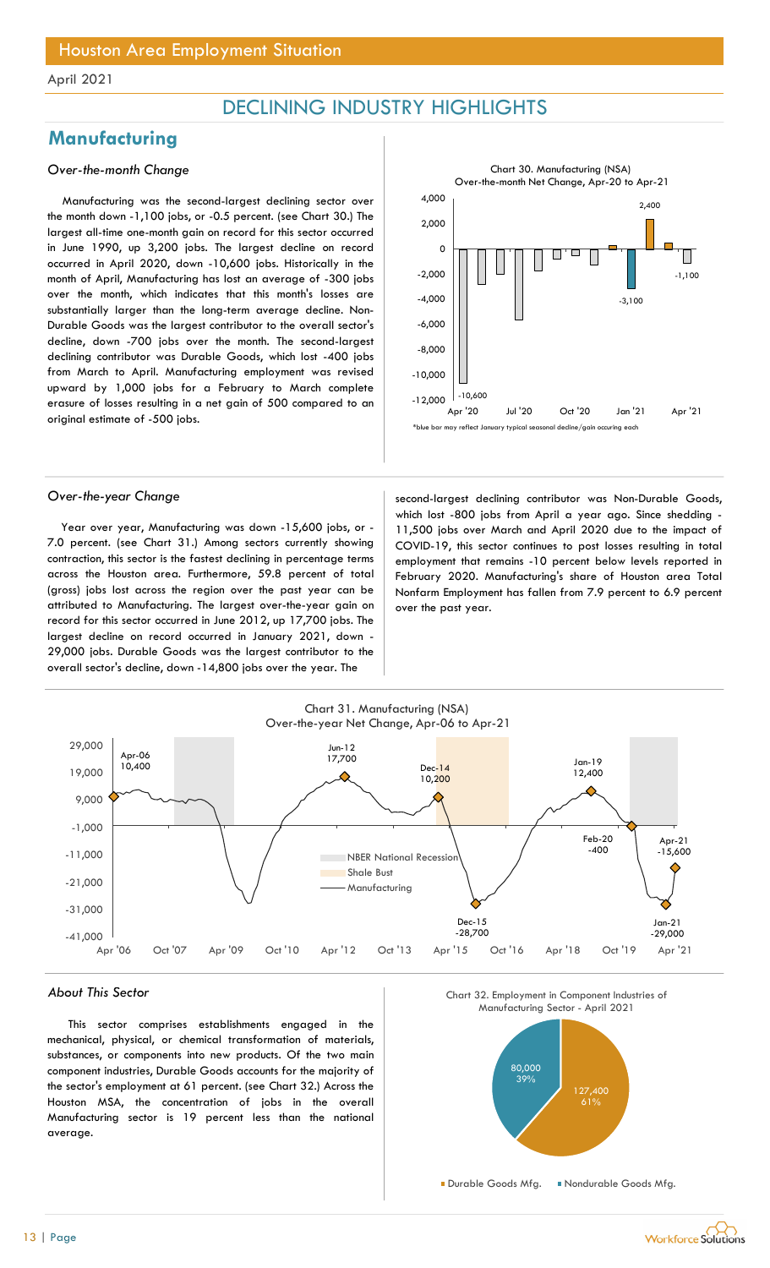## DECLINING INDUSTRY HIGHLIGHTS

## **Manufacturing**

### Over-the-month Change

Manufacturing was the second-largest declining sector over the month down -1,100 jobs, or -0.5 percent. (see Chart 30.) The largest all-time one-month gain on record for this sector occurred in June 1990, up 3,200 jobs. The largest decline on record occurred in April 2020, down -10,600 jobs. Historically in the month of April, Manufacturing has lost an average of -300 jobs over the month, which indicates that this month's losses are substantially larger than the long-term average decline. Non-Durable Goods was the largest contributor to the overall sector's decline, down -700 jobs over the month. The second-largest declining contributor was Durable Goods, which lost -400 jobs from March to April. Manufacturing employment was revised upward by 1,000 jobs for a February to March complete erasure of losses resulting in a net gain of 500 compared to an original estimate of -500 jobs.

![](_page_12_Figure_6.jpeg)

Year over year, Manufacturing was down -15,600 jobs, or - 7.0 percent. (see Chart 31.) Among sectors currently showing contraction, this sector is the fastest declining in percentage terms across the Houston area. Furthermore, 59.8 percent of total (gross) jobs lost across the region over the past year can be attributed to Manufacturing. The largest over-the-year gain on record for this sector occurred in June 2012, up 17,700 jobs. The largest decline on record occurred in January 2021, down - 29,000 jobs. Durable Goods was the largest contributor to the overall sector's decline, down -14,800 jobs over the year. The

Over-the-year Change second-largest declining contributor was Non-Durable Goods, which lost -800 jobs from April a year ago. Since shedding -11,500 jobs over March and April 2020 due to the impact of COVID-19, this sector continues to post losses resulting in total employment that remains -10 percent below levels reported in February 2020. Manufacturing's share of Houston area Total Nonfarm Employment has fallen from 7.9 percent to 6.9 percent over the past year.

![](_page_12_Figure_10.jpeg)

#### About This Sector

This sector comprises establishments engaged in the mechanical, physical, or chemical transformation of materials, substances, or components into new products. Of the two main component industries, Durable Goods accounts for the majority of the sector's employment at 61 percent. (see Chart 32.) Across the Houston MSA, the concentration of jobs in the overall Manufacturing sector is 19 percent less than the national average.

![](_page_12_Figure_13.jpeg)

![](_page_12_Figure_14.jpeg)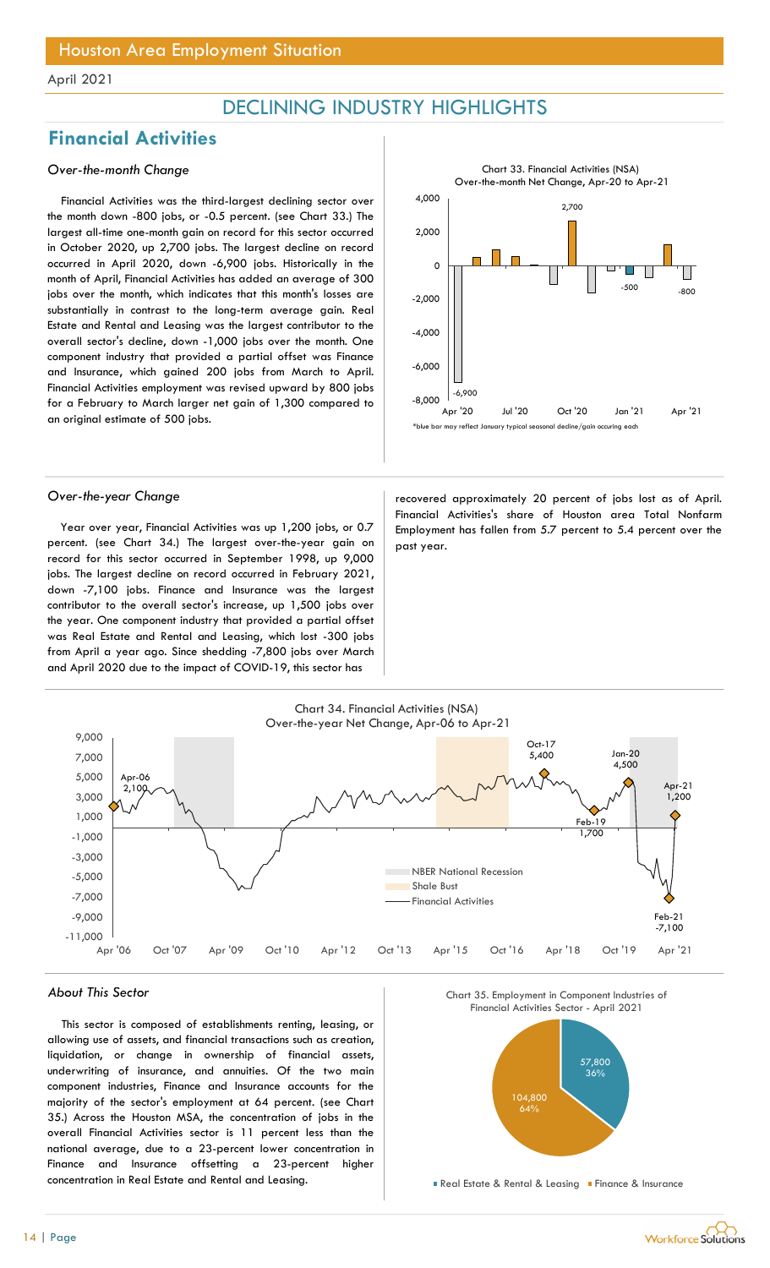## DECLINING INDUSTRY HIGHLIGHTS

## Financial Activities

### Over-the-month Change

Financial Activities was the third-largest declining sector over the month down -800 jobs, or -0.5 percent. (see Chart 33.) The largest all-time one-month gain on record for this sector occurred in October 2020, up 2,700 jobs. The largest decline on record occurred in April 2020, down -6,900 jobs. Historically in the month of April, Financial Activities has added an average of 300 jobs over the month, which indicates that this month's losses are substantially in contrast to the long-term average gain. Real Estate and Rental and Leasing was the largest contributor to the overall sector's decline, down -1,000 jobs over the month. One component industry that provided a partial offset was Finance and Insurance, which gained 200 jobs from March to April. Financial Activities employment was revised upward by 800 jobs for a February to March larger net gain of 1,300 compared to an original estimate of 500 jobs.

![](_page_13_Figure_6.jpeg)

Year over year, Financial Activities was up 1,200 jobs, or 0.7 percent. (see Chart 34.) The largest over-the-year gain on record for this sector occurred in September 1998, up 9,000 jobs. The largest decline on record occurred in February 2021, down -7,100 jobs. Finance and Insurance was the largest contributor to the overall sector's increase, up 1,500 jobs over the year. One component industry that provided a partial offset was Real Estate and Rental and Leasing, which lost -300 jobs from April a year ago. Since shedding -7,800 jobs over March and April 2020 due to the impact of COVID-19, this sector has

Over-the-year Change and approximately 20 percent of jobs lost as of April. Financial Activities's share of Houston area Total Nonfarm Employment has fallen from 5.7 percent to 5.4 percent over the past year.

![](_page_13_Figure_10.jpeg)

#### About This Sector

This sector is composed of establishments renting, leasing, or allowing use of assets, and financial transactions such as creation, liquidation, or change in ownership of financial assets, underwriting of insurance, and annuities. Of the two main component industries, Finance and Insurance accounts for the majority of the sector's employment at 64 percent. (see Chart 35.) Across the Houston MSA, the concentration of jobs in the overall Financial Activities sector is 11 percent less than the national average, due to a 23-percent lower concentration in Finance and Insurance offsetting a 23-percent higher concentration in Real Estate and Rental and Leasing.

![](_page_13_Figure_13.jpeg)

![](_page_13_Figure_14.jpeg)

**Real Estate & Rental & Leasing Finance & Insurance**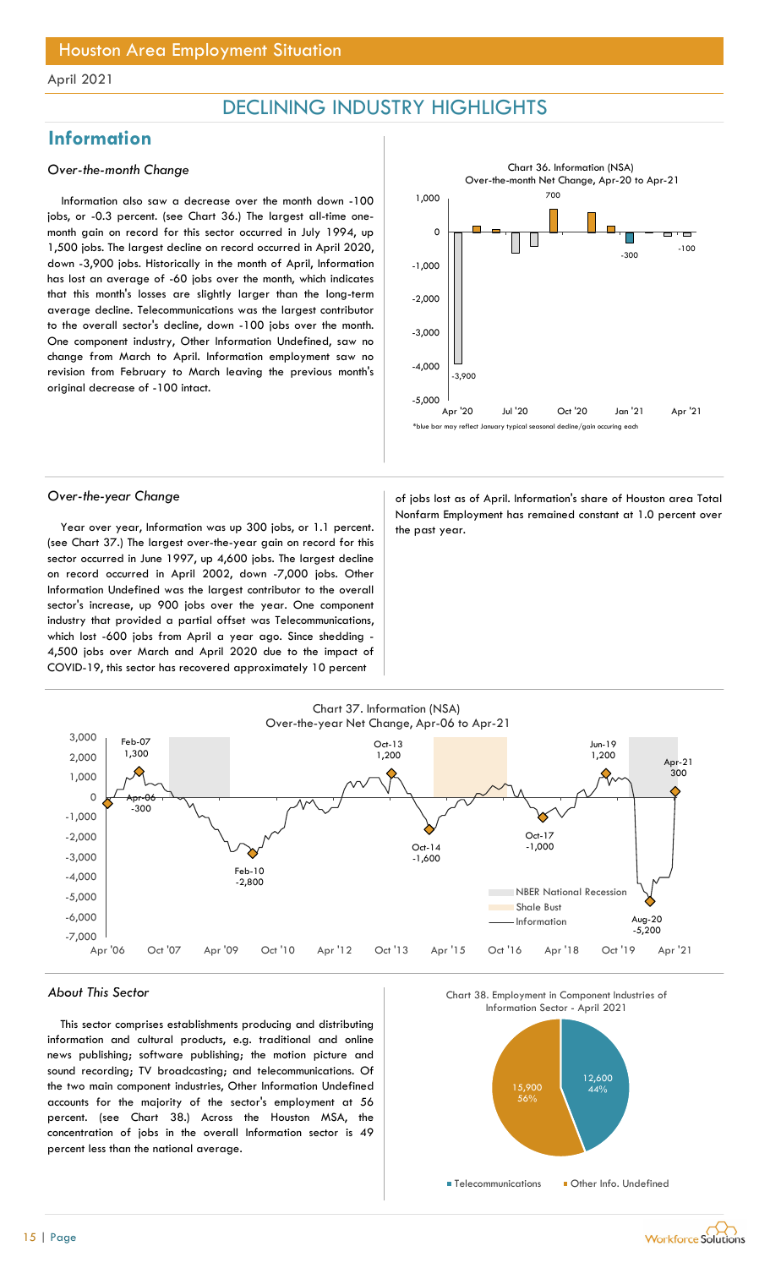## DECLINING INDUSTRY HIGHLIGHTS

## **Information**

#### Over-the-month Change

Information also saw a decrease over the month down -100 jobs, or -0.3 percent. (see Chart 36.) The largest all-time onemonth gain on record for this sector occurred in July 1994, up 1,500 jobs. The largest decline on record occurred in April 2020, down -3,900 jobs. Historically in the month of April, Information has lost an average of -60 jobs over the month, which indicates that this month's losses are slightly larger than the long-term average decline. Telecommunications was the largest contributor to the overall sector's decline, down -100 jobs over the month. One component industry, Other Information Undefined, saw no change from March to April. Information employment saw no revision from February to March leaving the previous month's original decrease of -100 intact.

![](_page_14_Figure_6.jpeg)

Year over year, Information was up 300 jobs, or 1.1 percent.  $\vert$  the past year. (see Chart 37.) The largest over-the-year gain on record for this sector occurred in June 1997, up 4,600 jobs. The largest decline on record occurred in April 2002, down -7,000 jobs. Other Information Undefined was the largest contributor to the overall sector's increase, up 900 jobs over the year. One component industry that provided a partial offset was Telecommunications, which lost -600 jobs from April a year ago. Since shedding - 4,500 jobs over March and April 2020 due to the impact of COVID-19, this sector has recovered approximately 10 percent

Over-the-year Change and a state of jobs lost as of April. Information's share of Houston area Total Nonfarm Employment has remained constant at 1.0 percent over

![](_page_14_Figure_10.jpeg)

#### About This Sector

This sector comprises establishments producing and distributing information and cultural products, e.g. traditional and online news publishing; software publishing; the motion picture and sound recording; TV broadcasting; and telecommunications. Of the two main component industries, Other Information Undefined accounts for the majority of the sector's employment at 56 percent. (see Chart 38.) Across the Houston MSA, the concentration of jobs in the overall Information sector is 49 percent less than the national average.

![](_page_14_Figure_13.jpeg)

![](_page_14_Figure_14.jpeg)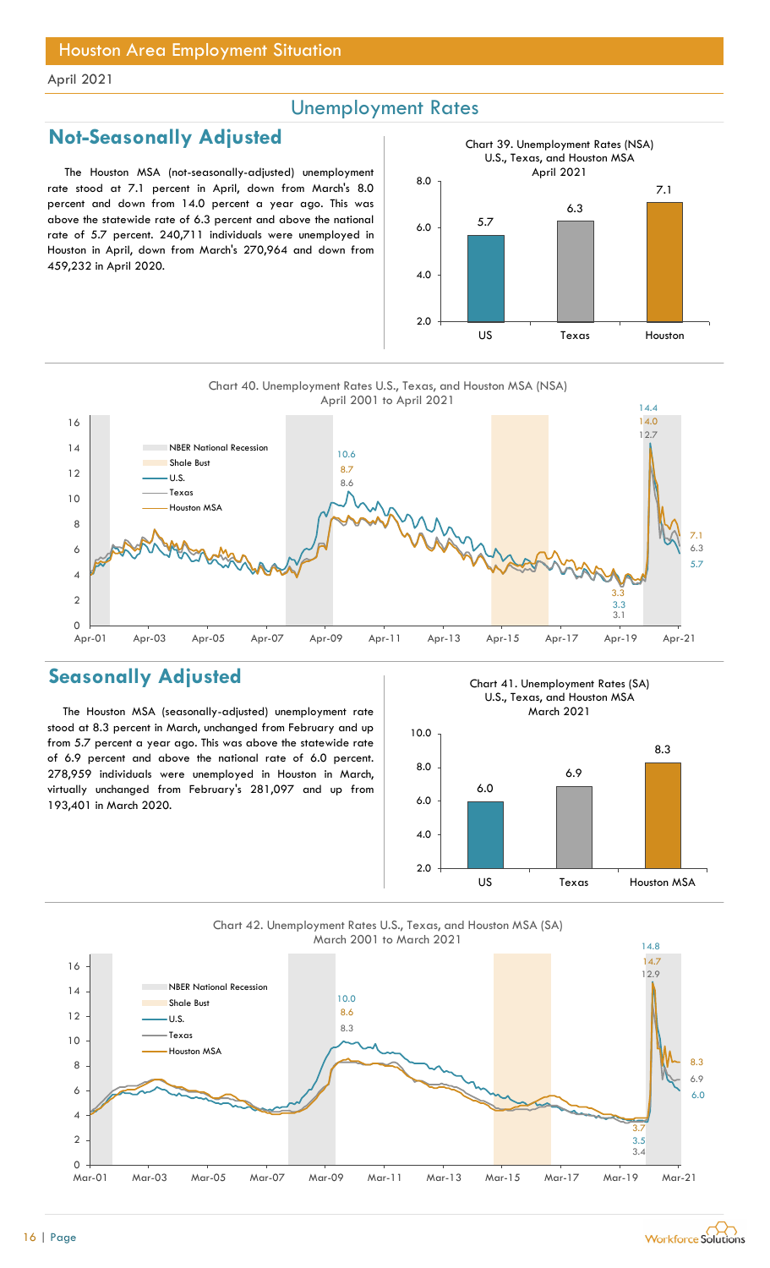## Unemployment Rates

## Not-Seasonally Adjusted

The Houston MSA (not-seasonally-adjusted) unemployment rate stood at 7.1 percent in April, down from March's 8.0 percent and down from 14.0 percent a year ago. This was above the statewide rate of 6.3 percent and above the national rate of 5.7 percent. 240,711 individuals were unemployed in Houston in April, down from March's 270,964 and down from 459,232 in April 2020.

![](_page_15_Figure_5.jpeg)

Chart 40. Unemployment Rates U.S., Texas, and Houston MSA (NSA)

![](_page_15_Figure_7.jpeg)

## Seasonally Adjusted

The Houston MSA (seasonally-adjusted) unemployment rate stood at 8.3 percent in March, unchanged from February and up from 5.7 percent a year ago. This was above the statewide rate of 6.9 percent and above the national rate of 6.0 percent. 278,959 individuals were unemployed in Houston in March, virtually unchanged from February's 281,097 and up from 193,401 in March 2020.

Chart 41. Unemployment Rates (SA) U.S., Texas, and Houston MSA March 2021

![](_page_15_Figure_11.jpeg)

![](_page_15_Figure_12.jpeg)